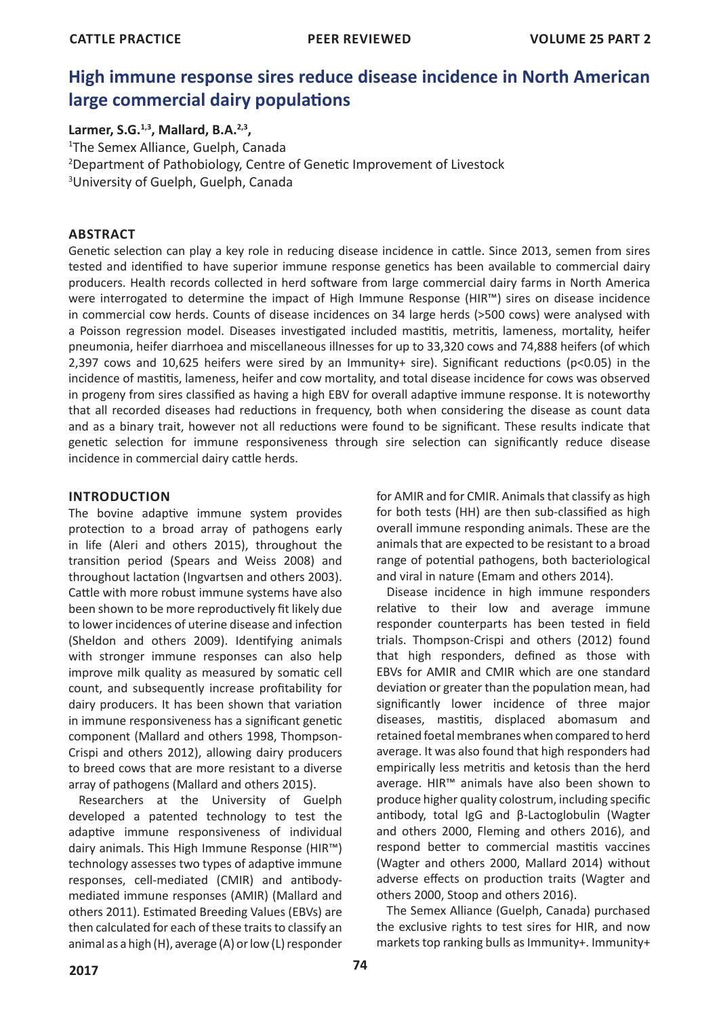# **High immune response sires reduce disease incidence in North American large commercial dairy populations**

# **Larmer, S.G.1,3, Mallard, B.A.2,3,**

1 The Semex Alliance, Guelph, Canada 2 Department of Pathobiology, Centre of Genetic Improvement of Livestock 3 University of Guelph, Guelph, Canada

# **ABSTRACT**

Genetic selection can play a key role in reducing disease incidence in cattle. Since 2013, semen from sires tested and identified to have superior immune response genetics has been available to commercial dairy producers. Health records collected in herd software from large commercial dairy farms in North America were interrogated to determine the impact of High Immune Response (HIR™) sires on disease incidence in commercial cow herds. Counts of disease incidences on 34 large herds (>500 cows) were analysed with a Poisson regression model. Diseases investigated included mastitis, metritis, lameness, mortality, heifer pneumonia, heifer diarrhoea and miscellaneous illnesses for up to 33,320 cows and 74,888 heifers (of which 2,397 cows and 10,625 heifers were sired by an Immunity+ sire). Significant reductions (p<0.05) in the incidence of mastitis, lameness, heifer and cow mortality, and total disease incidence for cows was observed in progeny from sires classified as having a high EBV for overall adaptive immune response. It is noteworthy that all recorded diseases had reductions in frequency, both when considering the disease as count data and as a binary trait, however not all reductions were found to be significant. These results indicate that genetic selection for immune responsiveness through sire selection can significantly reduce disease incidence in commercial dairy cattle herds.

## **INTRODUCTION**

The bovine adaptive immune system provides protection to a broad array of pathogens early in life (Aleri and others 2015), throughout the transition period (Spears and Weiss 2008) and throughout lactation (Ingvartsen and others 2003). Cattle with more robust immune systems have also been shown to be more reproductively fit likely due to lower incidences of uterine disease and infection (Sheldon and others 2009). Identifying animals with stronger immune responses can also help improve milk quality as measured by somatic cell count, and subsequently increase profitability for dairy producers. It has been shown that variation in immune responsiveness has a significant genetic component (Mallard and others 1998, Thompson-Crispi and others 2012), allowing dairy producers to breed cows that are more resistant to a diverse array of pathogens (Mallard and others 2015).

Researchers at the University of Guelph developed a patented technology to test the adaptive immune responsiveness of individual dairy animals. This High Immune Response (HIR™) technology assesses two types of adaptive immune responses, cell-mediated (CMIR) and antibodymediated immune responses (AMIR) (Mallard and others 2011). Estimated Breeding Values (EBVs) are then calculated for each of these traits to classify an animal as a high (H), average (A) or low (L) responder

for AMIR and for CMIR. Animals that classify as high for both tests (HH) are then sub-classified as high overall immune responding animals. These are the animals that are expected to be resistant to a broad range of potential pathogens, both bacteriological and viral in nature (Emam and others 2014).

Disease incidence in high immune responders relative to their low and average immune responder counterparts has been tested in field trials. Thompson-Crispi and others (2012) found that high responders, defined as those with EBVs for AMIR and CMIR which are one standard deviation or greater than the population mean, had significantly lower incidence of three major diseases, mastitis, displaced abomasum and retained foetal membranes when compared to herd average. It was also found that high responders had empirically less metritis and ketosis than the herd average. HIR™ animals have also been shown to produce higher quality colostrum, including specific antibody, total IgG and β-Lactoglobulin (Wagter and others 2000, Fleming and others 2016), and respond better to commercial mastitis vaccines (Wagter and others 2000, Mallard 2014) without adverse effects on production traits (Wagter and others 2000, Stoop and others 2016).

The Semex Alliance (Guelph, Canada) purchased the exclusive rights to test sires for HIR, and now markets top ranking bulls as Immunity+. Immunity+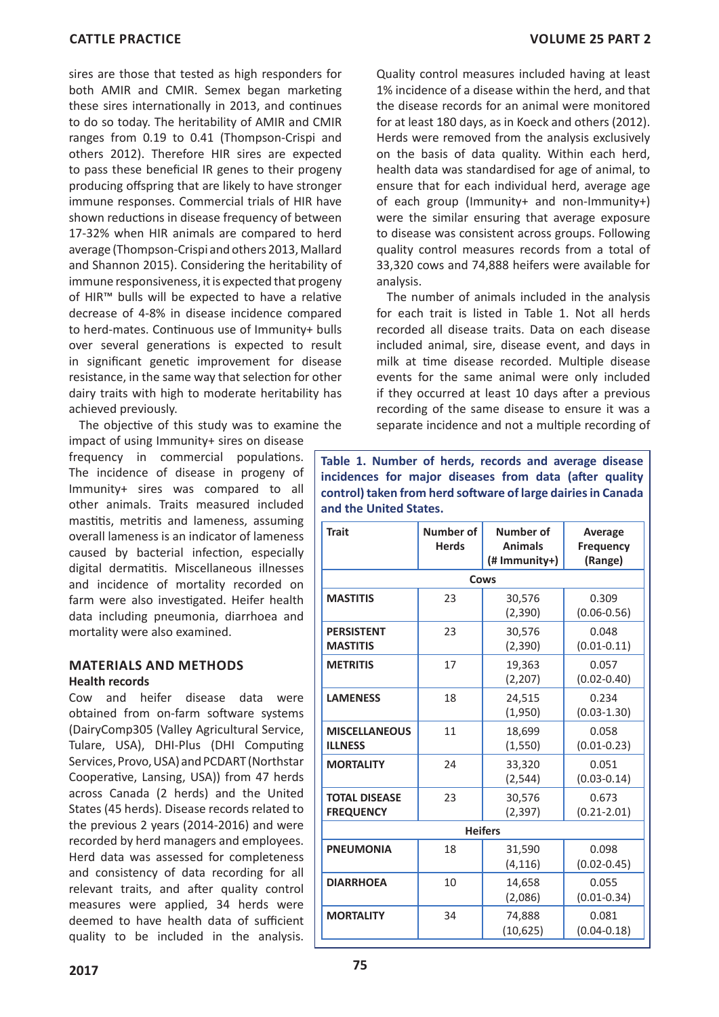**CATTLE PRACTICE VOLUME 25 PART 2**

sires are those that tested as high responders for both AMIR and CMIR. Semex began marketing these sires internationally in 2013, and continues to do so today. The heritability of AMIR and CMIR ranges from 0.19 to 0.41 (Thompson-Crispi and others 2012). Therefore HIR sires are expected to pass these beneficial IR genes to their progeny producing offspring that are likely to have stronger immune responses. Commercial trials of HIR have shown reductions in disease frequency of between 17-32% when HIR animals are compared to herd average (Thompson-Crispi and others 2013, Mallard and Shannon 2015). Considering the heritability of immune responsiveness, it is expected that progeny of HIR™ bulls will be expected to have a relative decrease of 4-8% in disease incidence compared to herd-mates. Continuous use of Immunity+ bulls over several generations is expected to result in significant genetic improvement for disease resistance, in the same way that selection for other dairy traits with high to moderate heritability has achieved previously.

The objective of this study was to examine the

impact of using Immunity+ sires on disease frequency in commercial populations. The incidence of disease in progeny of Immunity+ sires was compared to all other animals. Traits measured included mastitis, metritis and lameness, assuming overall lameness is an indicator of lameness caused by bacterial infection, especially digital dermatitis. Miscellaneous illnesses and incidence of mortality recorded on farm were also investigated. Heifer health data including pneumonia, diarrhoea and mortality were also examined.

## **MATERIALS AND METHODS Health records**

Cow and heifer disease data were obtained from on-farm software systems (DairyComp305 (Valley Agricultural Service, Tulare, USA), DHI-Plus (DHI Computing Services, Provo, USA) and PCDART (Northstar Cooperative, Lansing, USA)) from 47 herds across Canada (2 herds) and the United States (45 herds). Disease records related to the previous 2 years (2014-2016) and were recorded by herd managers and employees. Herd data was assessed for completeness and consistency of data recording for all relevant traits, and after quality control measures were applied, 34 herds were deemed to have health data of sufficient quality to be included in the analysis. Quality control measures included having at least 1% incidence of a disease within the herd, and that the disease records for an animal were monitored for at least 180 days, as in Koeck and others (2012). Herds were removed from the analysis exclusively on the basis of data quality. Within each herd, health data was standardised for age of animal, to ensure that for each individual herd, average age of each group (Immunity+ and non-Immunity+) were the similar ensuring that average exposure to disease was consistent across groups. Following quality control measures records from a total of 33,320 cows and 74,888 heifers were available for analysis.

The number of animals included in the analysis for each trait is listed in Table 1. Not all herds recorded all disease traits. Data on each disease included animal, sire, disease event, and days in milk at time disease recorded. Multiple disease events for the same animal were only included if they occurred at least 10 days after a previous recording of the same disease to ensure it was a separate incidence and not a multiple recording of

**Table 1. Number of herds, records and average disease incidences for major diseases from data (after quality control) taken from herd software of large dairies in Canada and the United States.**

| <b>Trait</b>                             | Number of<br><b>Herds</b> | Number of<br><b>Animals</b><br>$(H$ Immunity+) | Average<br><b>Frequency</b><br>(Range) |  |
|------------------------------------------|---------------------------|------------------------------------------------|----------------------------------------|--|
| Cows                                     |                           |                                                |                                        |  |
| <b>MASTITIS</b>                          | 23                        | 30,576<br>(2,390)                              | 0.309<br>$(0.06 - 0.56)$               |  |
| <b>PERSISTENT</b><br><b>MASTITIS</b>     | 23                        | 30,576<br>(2,390)                              | 0.048<br>$(0.01 - 0.11)$               |  |
| <b>METRITIS</b>                          | 17                        | 19,363<br>(2, 207)                             | 0.057<br>$(0.02 - 0.40)$               |  |
| <b>LAMENESS</b>                          | 18                        | 24,515<br>(1,950)                              | 0.234<br>$(0.03 - 1.30)$               |  |
| <b>MISCELLANEOUS</b><br><b>ILLNESS</b>   | 11                        | 18,699<br>(1, 550)                             | 0.058<br>$(0.01 - 0.23)$               |  |
| <b>MORTALITY</b>                         | 24                        | 33,320<br>(2, 544)                             | 0.051<br>$(0.03 - 0.14)$               |  |
| <b>TOTAL DISEASE</b><br><b>FREQUENCY</b> | 23                        | 30,576<br>(2, 397)                             | 0.673<br>$(0.21 - 2.01)$               |  |
| <b>Heifers</b>                           |                           |                                                |                                        |  |
| <b>PNEUMONIA</b>                         | 18                        | 31,590<br>(4, 116)                             | 0.098<br>$(0.02 - 0.45)$               |  |
| <b>DIARRHOEA</b>                         | 10                        | 14,658<br>(2,086)                              | 0.055<br>$(0.01 - 0.34)$               |  |
| <b>MORTALITY</b>                         | 34                        | 74,888<br>(10, 625)                            | 0.081<br>$(0.04 - 0.18)$               |  |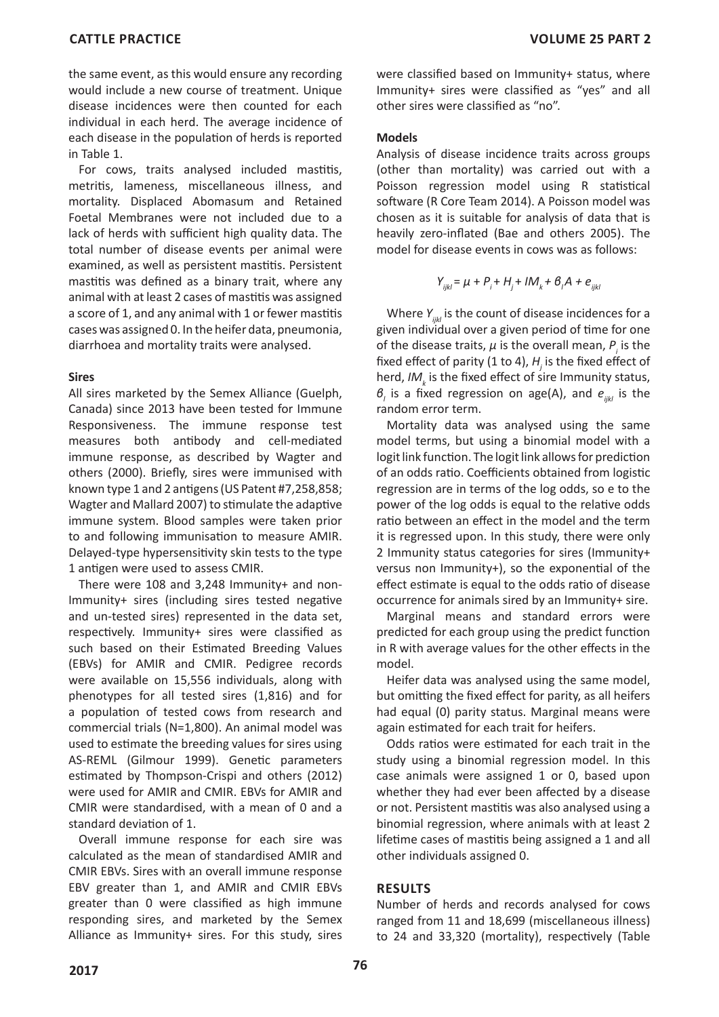the same event, as this would ensure any recording would include a new course of treatment. Unique disease incidences were then counted for each individual in each herd. The average incidence of each disease in the population of herds is reported in Table 1.

For cows, traits analysed included mastitis, metritis, lameness, miscellaneous illness, and mortality. Displaced Abomasum and Retained Foetal Membranes were not included due to a lack of herds with sufficient high quality data. The total number of disease events per animal were examined, as well as persistent mastitis. Persistent mastitis was defined as a binary trait, where any animal with at least 2 cases of mastitis was assigned a score of 1, and any animal with 1 or fewer mastitis cases was assigned 0. In the heifer data, pneumonia, diarrhoea and mortality traits were analysed.

#### **Sires**

All sires marketed by the Semex Alliance (Guelph, Canada) since 2013 have been tested for Immune Responsiveness. The immune response test measures both antibody and cell-mediated immune response, as described by Wagter and others (2000). Briefly, sires were immunised with known type 1 and 2 antigens (US Patent #7,258,858; Wagter and Mallard 2007) to stimulate the adaptive immune system. Blood samples were taken prior to and following immunisation to measure AMIR. Delayed-type hypersensitivity skin tests to the type 1 antigen were used to assess CMIR.

There were 108 and 3,248 Immunity+ and non-Immunity+ sires (including sires tested negative and un-tested sires) represented in the data set, respectively. Immunity+ sires were classified as such based on their Estimated Breeding Values (EBVs) for AMIR and CMIR. Pedigree records were available on 15,556 individuals, along with phenotypes for all tested sires (1,816) and for a population of tested cows from research and commercial trials (N=1,800). An animal model was used to estimate the breeding values for sires using AS-REML (Gilmour 1999). Genetic parameters estimated by Thompson-Crispi and others (2012) were used for AMIR and CMIR. EBVs for AMIR and CMIR were standardised, with a mean of 0 and a standard deviation of 1.

Overall immune response for each sire was calculated as the mean of standardised AMIR and CMIR EBVs. Sires with an overall immune response EBV greater than 1, and AMIR and CMIR EBVs greater than 0 were classified as high immune responding sires, and marketed by the Semex Alliance as Immunity+ sires. For this study, sires were classified based on Immunity+ status, where Immunity+ sires were classified as "yes" and all other sires were classified as "no".

#### **Models**

Analysis of disease incidence traits across groups (other than mortality) was carried out with a Poisson regression model using R statistical software (R Core Team 2014). A Poisson model was chosen as it is suitable for analysis of data that is heavily zero-inflated (Bae and others 2005). The model for disease events in cows was as follows:

$$
Y_{ijk} = \mu + P_i + H_j + I M_k + B_i A + e_{ijkl}
$$

Where  $Y_{i,jkl}$  is the count of disease incidences for a given individual over a given period of time for one of the disease traits,  $\mu$  is the overall mean,  $P_i$  is the fixed effect of parity (1 to 4),  $H_j$  is the fixed effect of herd,  $IM_k$  is the fixed effect of sire Immunity status,  *is a fixed regression on age(A), and*  $*e*<sub>ijkl</sub>$  *is the* random error term.

Mortality data was analysed using the same model terms, but using a binomial model with a logit link function. The logit link allows for prediction of an odds ratio. Coefficients obtained from logistic regression are in terms of the log odds, so e to the power of the log odds is equal to the relative odds ratio between an effect in the model and the term it is regressed upon. In this study, there were only 2 Immunity status categories for sires (Immunity+ versus non Immunity+), so the exponential of the effect estimate is equal to the odds ratio of disease occurrence for animals sired by an Immunity+ sire.

Marginal means and standard errors were predicted for each group using the predict function in R with average values for the other effects in the model.

Heifer data was analysed using the same model, but omitting the fixed effect for parity, as all heifers had equal (0) parity status. Marginal means were again estimated for each trait for heifers.

Odds ratios were estimated for each trait in the study using a binomial regression model. In this case animals were assigned 1 or 0, based upon whether they had ever been affected by a disease or not. Persistent mastitis was also analysed using a binomial regression, where animals with at least 2 lifetime cases of mastitis being assigned a 1 and all other individuals assigned 0.

## **RESULTS**

Number of herds and records analysed for cows ranged from 11 and 18,699 (miscellaneous illness) to 24 and 33,320 (mortality), respectively (Table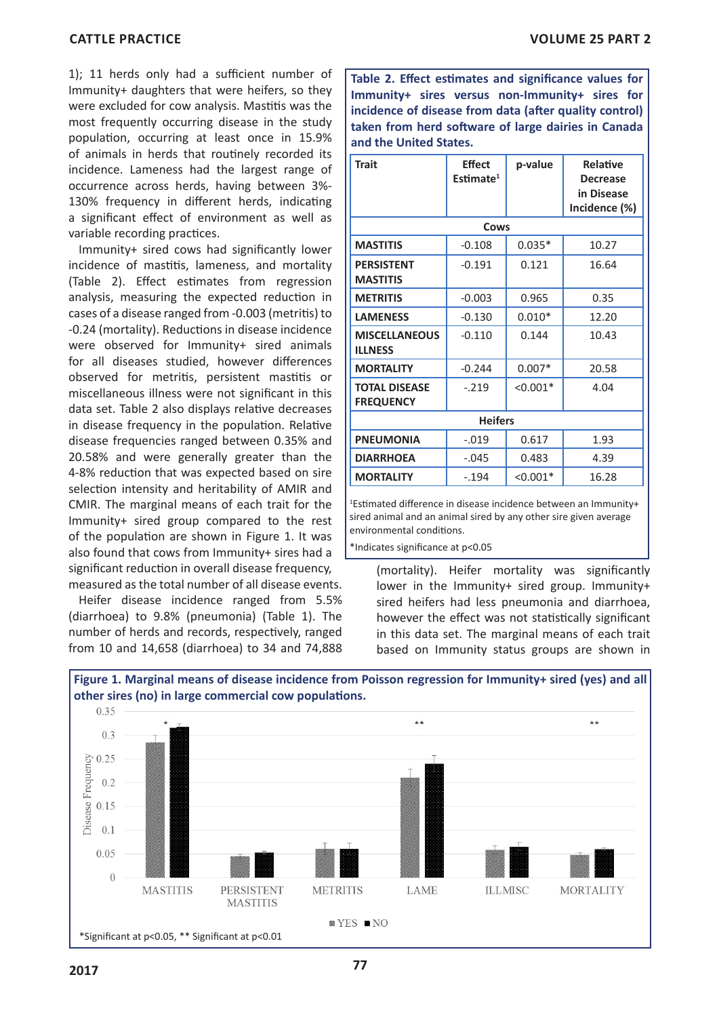1); 11 herds only had a sufficient number of Immunity+ daughters that were heifers, so they were excluded for cow analysis. Mastitis was the most frequently occurring disease in the study population, occurring at least once in 15.9% of animals in herds that routinely recorded its incidence. Lameness had the largest range of occurrence across herds, having between 3%- 130% frequency in different herds, indicating a significant effect of environment as well as variable recording practices.

Immunity+ sired cows had significantly lower incidence of mastitis, lameness, and mortality (Table 2). Effect estimates from regression analysis, measuring the expected reduction in cases of a disease ranged from -0.003 (metritis) to -0.24 (mortality). Reductions in disease incidence were observed for Immunity+ sired animals for all diseases studied, however differences observed for metritis, persistent mastitis or miscellaneous illness were not significant in this data set. Table 2 also displays relative decreases in disease frequency in the population. Relative disease frequencies ranged between 0.35% and 20.58% and were generally greater than the 4-8% reduction that was expected based on sire selection intensity and heritability of AMIR and CMIR. The marginal means of each trait for the Immunity+ sired group compared to the rest of the population are shown in Figure 1. It was also found that cows from Immunity+ sires had a significant reduction in overall disease frequency, measured as the total number of all disease events.

Heifer disease incidence ranged from 5.5% (diarrhoea) to 9.8% (pneumonia) (Table 1). The number of herds and records, respectively, ranged from 10 and 14,658 (diarrhoea) to 34 and 74,888

**Table 2. Effect estimates and significance values for Immunity+ sires versus non-Immunity+ sires for incidence of disease from data (after quality control) taken from herd software of large dairies in Canada and the United States.**

| <b>Trait</b>                             | <b>Effect</b><br>Estimate <sup>1</sup> | p-value    | Relative<br><b>Decrease</b><br>in Disease<br>Incidence (%) |  |  |
|------------------------------------------|----------------------------------------|------------|------------------------------------------------------------|--|--|
| Cows                                     |                                        |            |                                                            |  |  |
| <b>MASTITIS</b>                          | $-0.108$                               | $0.035*$   | 10.27                                                      |  |  |
| <b>PERSISTENT</b><br><b>MASTITIS</b>     | $-0.191$                               | 0.121      | 16.64                                                      |  |  |
| <b>METRITIS</b>                          | $-0.003$                               | 0.965      | 0.35                                                       |  |  |
| <b>LAMENESS</b>                          | $-0.130$                               | $0.010*$   | 12.20                                                      |  |  |
| <b>MISCELLANEOUS</b><br><b>ILLNESS</b>   | $-0.110$                               | 0.144      | 10.43                                                      |  |  |
| <b>MORTALITY</b>                         | $-0.244$                               | $0.007*$   | 20.58                                                      |  |  |
| <b>TOTAL DISEASE</b><br><b>FREQUENCY</b> | $-.219$                                | $< 0.001*$ | 4.04                                                       |  |  |
| <b>Heifers</b>                           |                                        |            |                                                            |  |  |
| <b>PNEUMONIA</b>                         | $-.019$                                | 0.617      | 1.93                                                       |  |  |
| <b>DIARRHOEA</b>                         | $-.045$                                | 0.483      | 4.39                                                       |  |  |
| <b>MORTALITY</b>                         | $-.194$                                | $< 0.001*$ | 16.28                                                      |  |  |

1 Estimated difference in disease incidence between an Immunity+ sired animal and an animal sired by any other sire given average environmental conditions.

\*Indicates significance at p<0.05

(mortality). Heifer mortality was significantly lower in the Immunity+ sired group. Immunity+ sired heifers had less pneumonia and diarrhoea, however the effect was not statistically significant in this data set. The marginal means of each trait based on Immunity status groups are shown in

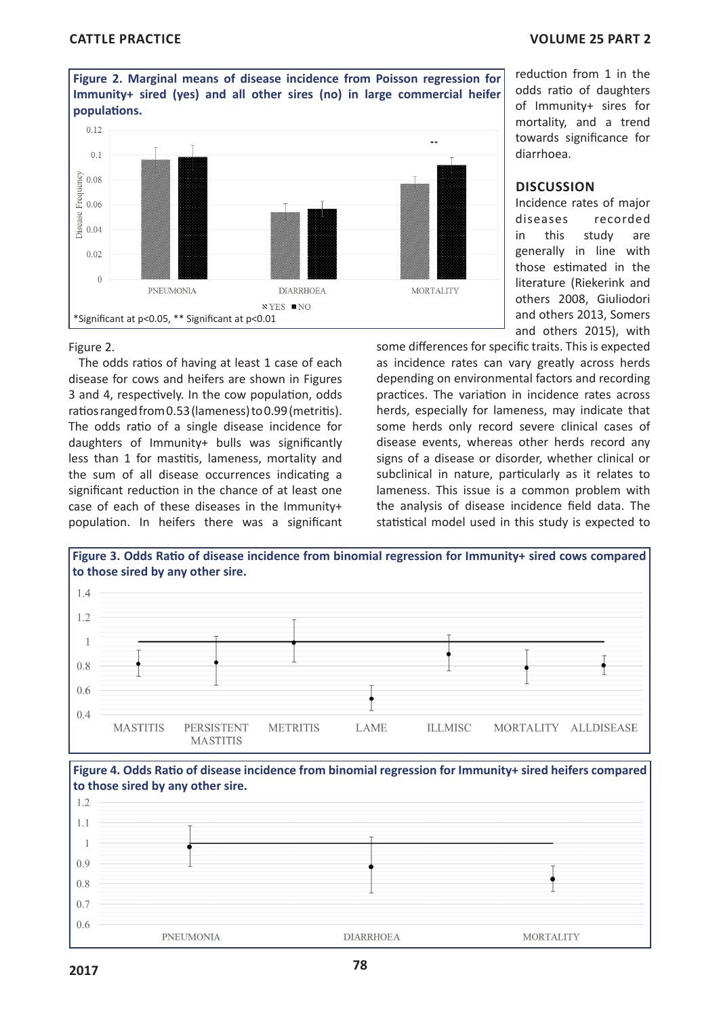

reduction from 1 in the odds ratio of daughters of Immunity+ sires for mortality, and a trend towards significance for diarrhoea.

## **DISCUSSION**

Incidence rates of major diseases recorded in this study are generally in line with those estimated in the literature (Riekerink and others 2008, Giuliodori and others 2013, Somers and others 2015), with

#### Figure 2.

The odds ratios of having at least 1 case of each disease for cows and heifers are shown in Figures 3 and 4, respectively. In the cow population, odds ratios ranged from 0.53 (lameness) to 0.99 (metritis). The odds ratio of a single disease incidence for daughters of Immunity+ bulls was significantly less than 1 for mastitis, lameness, mortality and the sum of all disease occurrences indicating a significant reduction in the chance of at least one case of each of these diseases in the Immunity+ population. In heifers there was a significant some differences for specific traits. This is expected as incidence rates can vary greatly across herds depending on environmental factors and recording practices. The variation in incidence rates across herds, especially for lameness, may indicate that some herds only record severe clinical cases of disease events, whereas other herds record any signs of a disease or disorder, whether clinical or subclinical in nature, particularly as it relates to lameness. This issue is a common problem with the analysis of disease incidence field data. The statistical model used in this study is expected to



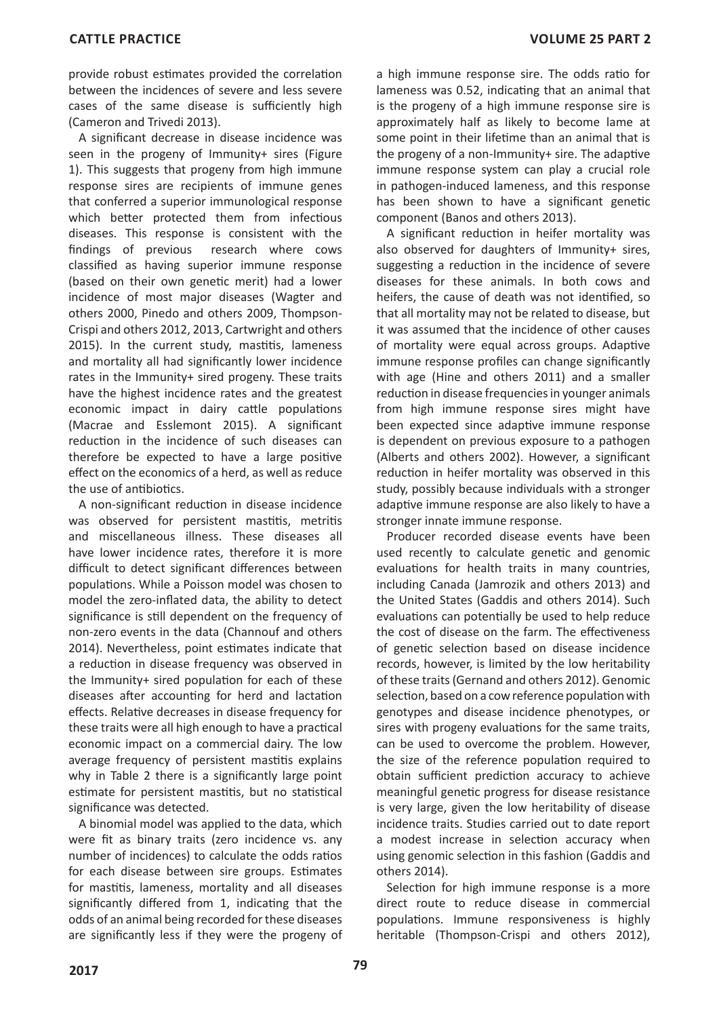provide robust estimates provided the correlation between the incidences of severe and less severe cases of the same disease is sufficiently high (Cameron and Trivedi 2013).

A significant decrease in disease incidence was seen in the progeny of Immunity+ sires (Figure 1). This suggests that progeny from high immune response sires are recipients of immune genes that conferred a superior immunological response which better protected them from infectious diseases. This response is consistent with the findings of previous research where cows classified as having superior immune response (based on their own genetic merit) had a lower incidence of most major diseases (Wagter and others 2000, Pinedo and others 2009, Thompson-Crispi and others 2012, 2013, Cartwright and others 2015). In the current study, mastitis, lameness and mortality all had significantly lower incidence rates in the Immunity+ sired progeny. These traits have the highest incidence rates and the greatest economic impact in dairy cattle populations (Macrae and Esslemont 2015). A significant reduction in the incidence of such diseases can therefore be expected to have a large positive effect on the economics of a herd, as well as reduce the use of antibiotics.

A non-significant reduction in disease incidence was observed for persistent mastitis, metritis and miscellaneous illness. These diseases all have lower incidence rates, therefore it is more difficult to detect significant differences between populations. While a Poisson model was chosen to model the zero-inflated data, the ability to detect significance is still dependent on the frequency of non-zero events in the data (Channouf and others 2014). Nevertheless, point estimates indicate that a reduction in disease frequency was observed in the Immunity+ sired population for each of these diseases after accounting for herd and lactation effects. Relative decreases in disease frequency for these traits were all high enough to have a practical economic impact on a commercial dairy. The low average frequency of persistent mastitis explains why in Table 2 there is a significantly large point estimate for persistent mastitis, but no statistical significance was detected.

A binomial model was applied to the data, which were fit as binary traits (zero incidence vs. any number of incidences) to calculate the odds ratios for each disease between sire groups. Estimates for mastitis, lameness, mortality and all diseases significantly differed from 1, indicating that the odds of an animal being recorded for these diseases are significantly less if they were the progeny of a high immune response sire. The odds ratio for lameness was 0.52, indicating that an animal that is the progeny of a high immune response sire is approximately half as likely to become lame at some point in their lifetime than an animal that is the progeny of a non-Immunity+ sire. The adaptive immune response system can play a crucial role in pathogen-induced lameness, and this response has been shown to have a significant genetic component (Banos and others 2013).

A significant reduction in heifer mortality was also observed for daughters of Immunity+ sires, suggesting a reduction in the incidence of severe diseases for these animals. In both cows and heifers, the cause of death was not identified, so that all mortality may not be related to disease, but it was assumed that the incidence of other causes of mortality were equal across groups. Adaptive immune response profiles can change significantly with age (Hine and others 2011) and a smaller reduction in disease frequencies in younger animals from high immune response sires might have been expected since adaptive immune response is dependent on previous exposure to a pathogen (Alberts and others 2002). However, a significant reduction in heifer mortality was observed in this study, possibly because individuals with a stronger adaptive immune response are also likely to have a stronger innate immune response.

Producer recorded disease events have been used recently to calculate genetic and genomic evaluations for health traits in many countries, including Canada (Jamrozik and others 2013) and the United States (Gaddis and others 2014). Such evaluations can potentially be used to help reduce the cost of disease on the farm. The effectiveness of genetic selection based on disease incidence records, however, is limited by the low heritability of these traits (Gernand and others 2012). Genomic selection, based on a cow reference population with genotypes and disease incidence phenotypes, or sires with progeny evaluations for the same traits, can be used to overcome the problem. However, the size of the reference population required to obtain sufficient prediction accuracy to achieve meaningful genetic progress for disease resistance is very large, given the low heritability of disease incidence traits. Studies carried out to date report a modest increase in selection accuracy when using genomic selection in this fashion (Gaddis and others 2014).

Selection for high immune response is a more direct route to reduce disease in commercial populations. Immune responsiveness is highly heritable (Thompson-Crispi and others 2012),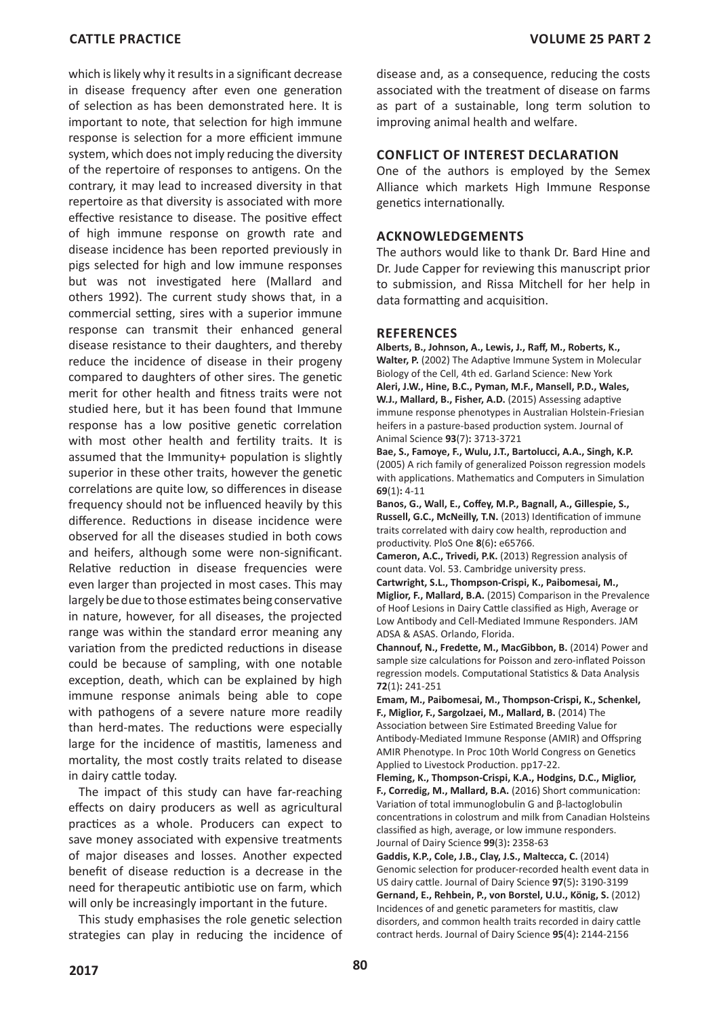which is likely why it results in a significant decrease in disease frequency after even one generation of selection as has been demonstrated here. It is important to note, that selection for high immune response is selection for a more efficient immune system, which does not imply reducing the diversity of the repertoire of responses to antigens. On the contrary, it may lead to increased diversity in that repertoire as that diversity is associated with more effective resistance to disease. The positive effect of high immune response on growth rate and disease incidence has been reported previously in pigs selected for high and low immune responses but was not investigated here (Mallard and others 1992). The current study shows that, in a commercial setting, sires with a superior immune response can transmit their enhanced general disease resistance to their daughters, and thereby reduce the incidence of disease in their progeny compared to daughters of other sires. The genetic merit for other health and fitness traits were not studied here, but it has been found that Immune response has a low positive genetic correlation with most other health and fertility traits. It is assumed that the Immunity+ population is slightly superior in these other traits, however the genetic correlations are quite low, so differences in disease frequency should not be influenced heavily by this difference. Reductions in disease incidence were observed for all the diseases studied in both cows and heifers, although some were non-significant. Relative reduction in disease frequencies were even larger than projected in most cases. This may largely be due to those estimates being conservative in nature, however, for all diseases, the projected range was within the standard error meaning any variation from the predicted reductions in disease could be because of sampling, with one notable exception, death, which can be explained by high immune response animals being able to cope with pathogens of a severe nature more readily than herd-mates. The reductions were especially large for the incidence of mastitis, lameness and mortality, the most costly traits related to disease in dairy cattle today.

The impact of this study can have far-reaching effects on dairy producers as well as agricultural practices as a whole. Producers can expect to save money associated with expensive treatments of major diseases and losses. Another expected benefit of disease reduction is a decrease in the need for therapeutic antibiotic use on farm, which will only be increasingly important in the future.

This study emphasises the role genetic selection strategies can play in reducing the incidence of disease and, as a consequence, reducing the costs associated with the treatment of disease on farms as part of a sustainable, long term solution to improving animal health and welfare.

#### **CONFLICT OF INTEREST DECLARATION**

One of the authors is employed by the Semex Alliance which markets High Immune Response genetics internationally.

#### **ACKNOWLEDGEMENTS**

The authors would like to thank Dr. Bard Hine and Dr. Jude Capper for reviewing this manuscript prior to submission, and Rissa Mitchell for her help in data formatting and acquisition.

#### **REFERENCES**

**Alberts, B., Johnson, A., Lewis, J., Raff, M., Roberts, K., Walter, P.** (2002) The Adaptive Immune System in Molecular Biology of the Cell, 4th ed. Garland Science: New York **Aleri, J.W., Hine, B.C., Pyman, M.F., Mansell, P.D., Wales, W.J., Mallard, B., Fisher, A.D.** (2015) Assessing adaptive immune response phenotypes in Australian Holstein-Friesian heifers in a pasture-based production system. Journal of Animal Science **93**(7)**:** 3713-3721

**Bae, S., Famoye, F., Wulu, J.T., Bartolucci, A.A., Singh, K.P.**  (2005) A rich family of generalized Poisson regression models with applications. Mathematics and Computers in Simulation **69**(1)**:** 4-11

**Banos, G., Wall, E., Coffey, M.P., Bagnall, A., Gillespie, S., Russell, G.C., McNeilly, T.N.** (2013) Identification of immune traits correlated with dairy cow health, reproduction and productivity. PloS One **8**(6)**:** e65766.

**Cameron, A.C., Trivedi, P.K.** (2013) Regression analysis of count data. Vol. 53. Cambridge university press.

**Cartwright, S.L., Thompson-Crispi, K., Paibomesai, M., Miglior, F., Mallard, B.A.** (2015) Comparison in the Prevalence of Hoof Lesions in Dairy Cattle classified as High, Average or Low Antibody and Cell-Mediated Immune Responders. JAM ADSA & ASAS. Orlando, Florida.

**Channouf, N., Fredette, M., MacGibbon, B.** (2014) Power and sample size calculations for Poisson and zero-inflated Poisson regression models. Computational Statistics & Data Analysis **72**(1)**:** 241-251

**Emam, M., Paibomesai, M., Thompson-Crispi, K., Schenkel, F., Miglior, F., Sargolzaei, M., Mallard, B.** (2014) The Association between Sire Estimated Breeding Value for Antibody-Mediated Immune Response (AMIR) and Offspring AMIR Phenotype. In Proc 10th World Congress on Genetics Applied to Livestock Production. pp17-22.

**Fleming, K., Thompson-Crispi, K.A., Hodgins, D.C., Miglior, F., Corredig, M., Mallard, B.A.** (2016) Short communication: Variation of total immunoglobulin G and β-lactoglobulin concentrations in colostrum and milk from Canadian Holsteins classified as high, average, or low immune responders. Journal of Dairy Science **99**(3)**:** 2358-63

**Gaddis, K.P., Cole, J.B., Clay, J.S., Maltecca, C.** (2014) Genomic selection for producer-recorded health event data in US dairy cattle. Journal of Dairy Science **97**(5)**:** 3190-3199 **Gernand, E., Rehbein, P., von Borstel, U.U., König, S.** (2012) Incidences of and genetic parameters for mastitis, claw disorders, and common health traits recorded in dairy cattle contract herds. Journal of Dairy Science **95**(4)**:** 2144-2156